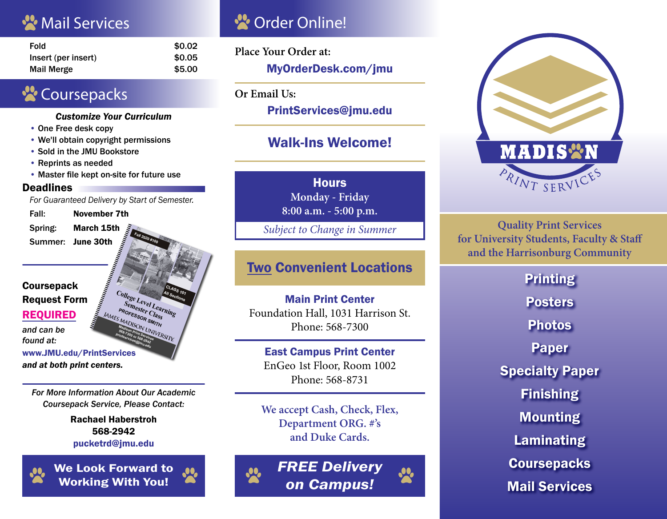## **W** Mail Services **Constanting Market Online!**

| <b>Fold</b>         | \$0.02 |
|---------------------|--------|
| Insert (per insert) | \$0.05 |
| <b>Mail Merge</b>   | \$5.00 |

# **Coursepacks**

#### *Customize Your Curriculum*

- One Free desk copy
- We'll obtain copyright permissions
- Sold in the JMU Bookstore
- Reprints as needed
- Master file kept on-site for future use

#### **Deadlines**

**Coursepack** 

REQUIRED *and can be found at:*

*For Guaranteed Delivery by Start of Semester.*

Fall: November 7th

Spring: March 15th Summer: June 30th



*and at both print centers.*

*For More Information About Our Academic Coursepack Service, Please Contact:*

> Rachael Haberstroh 568-2942 pucketrd@jmu.edu



We Look Forward to  $\bullet$ Working With You!

**Place Your Order at:** MyOrderDesk.com/jmu

**Or Email Us:**

PrintServices@jmu.edu

### Walk-Ins Welcome!

**Hours Monday - Friday 8:00 a.m. - 5:00 p.m.**

*Subject to Change in Summer*

### Two Convenient Locations

Main Print Center Foundation Hall, 1031 Harrison St. Phone: 568-7300

#### East Campus Print Center EnGeo 1st Floor, Room 1002 Phone: 568-8731

**We accept Cash, Check, Flex, Department ORG. #'s and Duke Cards.**



*FREE Delivery on Campus!*

20



**Quality Print Services for University Students, Faculty & Staff and the Harrisonburg Community**

> **Printing Posters** Photos Paper Specialty Paper Finishing Mounting Laminating **Coursepacks** Mail Services